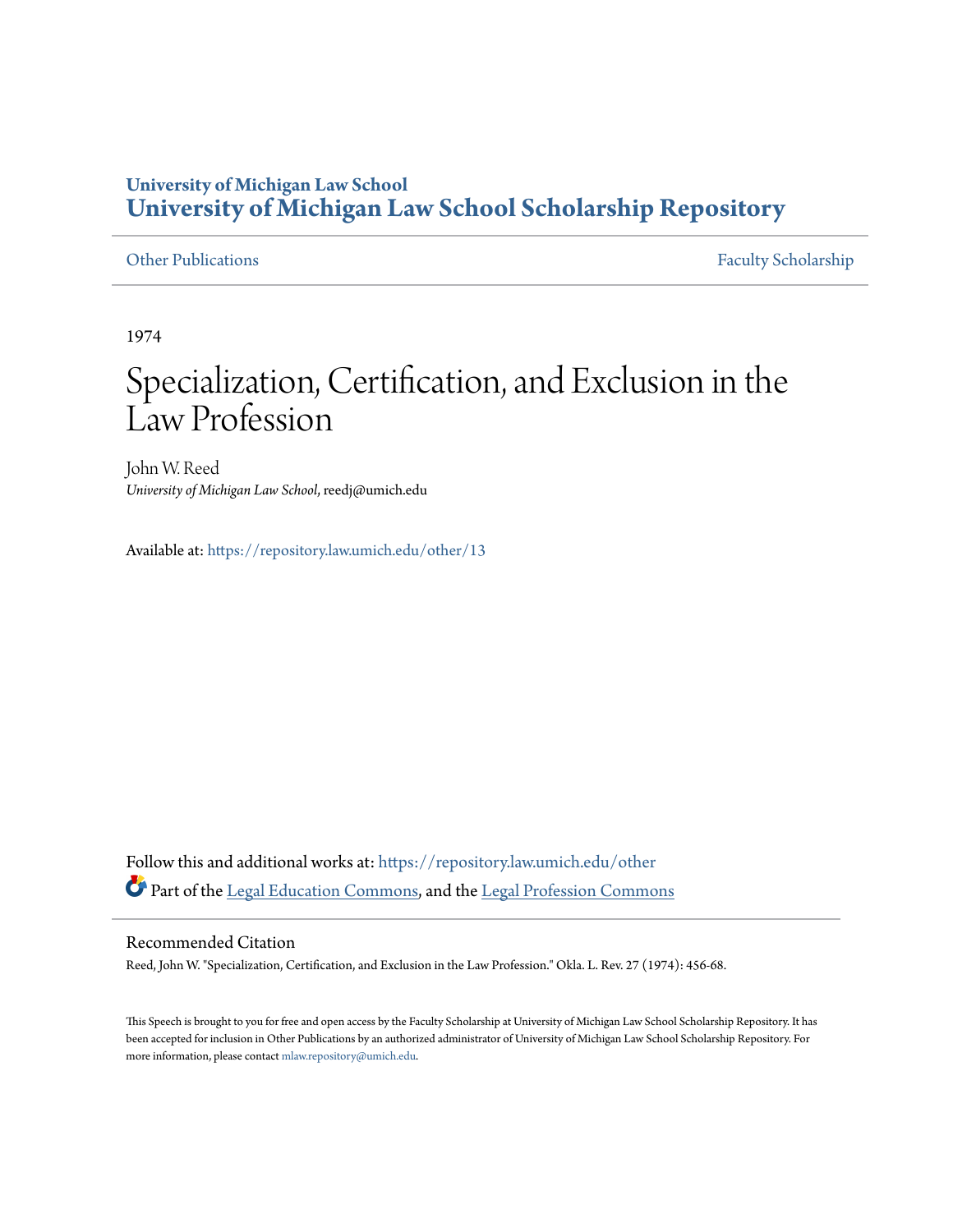# **University of Michigan Law School [University of Michigan Law School Scholarship Repository](https://repository.law.umich.edu?utm_source=repository.law.umich.edu%2Fother%2F13&utm_medium=PDF&utm_campaign=PDFCoverPages)**

[Other Publications](https://repository.law.umich.edu/other?utm_source=repository.law.umich.edu%2Fother%2F13&utm_medium=PDF&utm_campaign=PDFCoverPages) [Faculty Scholarship](https://repository.law.umich.edu/faculty_scholarship?utm_source=repository.law.umich.edu%2Fother%2F13&utm_medium=PDF&utm_campaign=PDFCoverPages)

1974

# Specialization, Certification, and Exclusion in the Law Profession

John W. Reed *University of Michigan Law School*, reedj@umich.edu

Available at: <https://repository.law.umich.edu/other/13>

Follow this and additional works at: [https://repository.law.umich.edu/other](https://repository.law.umich.edu/other?utm_source=repository.law.umich.edu%2Fother%2F13&utm_medium=PDF&utm_campaign=PDFCoverPages) Part of the [Legal Education Commons,](http://network.bepress.com/hgg/discipline/857?utm_source=repository.law.umich.edu%2Fother%2F13&utm_medium=PDF&utm_campaign=PDFCoverPages) and the [Legal Profession Commons](http://network.bepress.com/hgg/discipline/1075?utm_source=repository.law.umich.edu%2Fother%2F13&utm_medium=PDF&utm_campaign=PDFCoverPages)

#### Recommended Citation

Reed, John W. "Specialization, Certification, and Exclusion in the Law Profession." Okla. L. Rev. 27 (1974): 456-68.

This Speech is brought to you for free and open access by the Faculty Scholarship at University of Michigan Law School Scholarship Repository. It has been accepted for inclusion in Other Publications by an authorized administrator of University of Michigan Law School Scholarship Repository. For more information, please contact [mlaw.repository@umich.edu](mailto:mlaw.repository@umich.edu).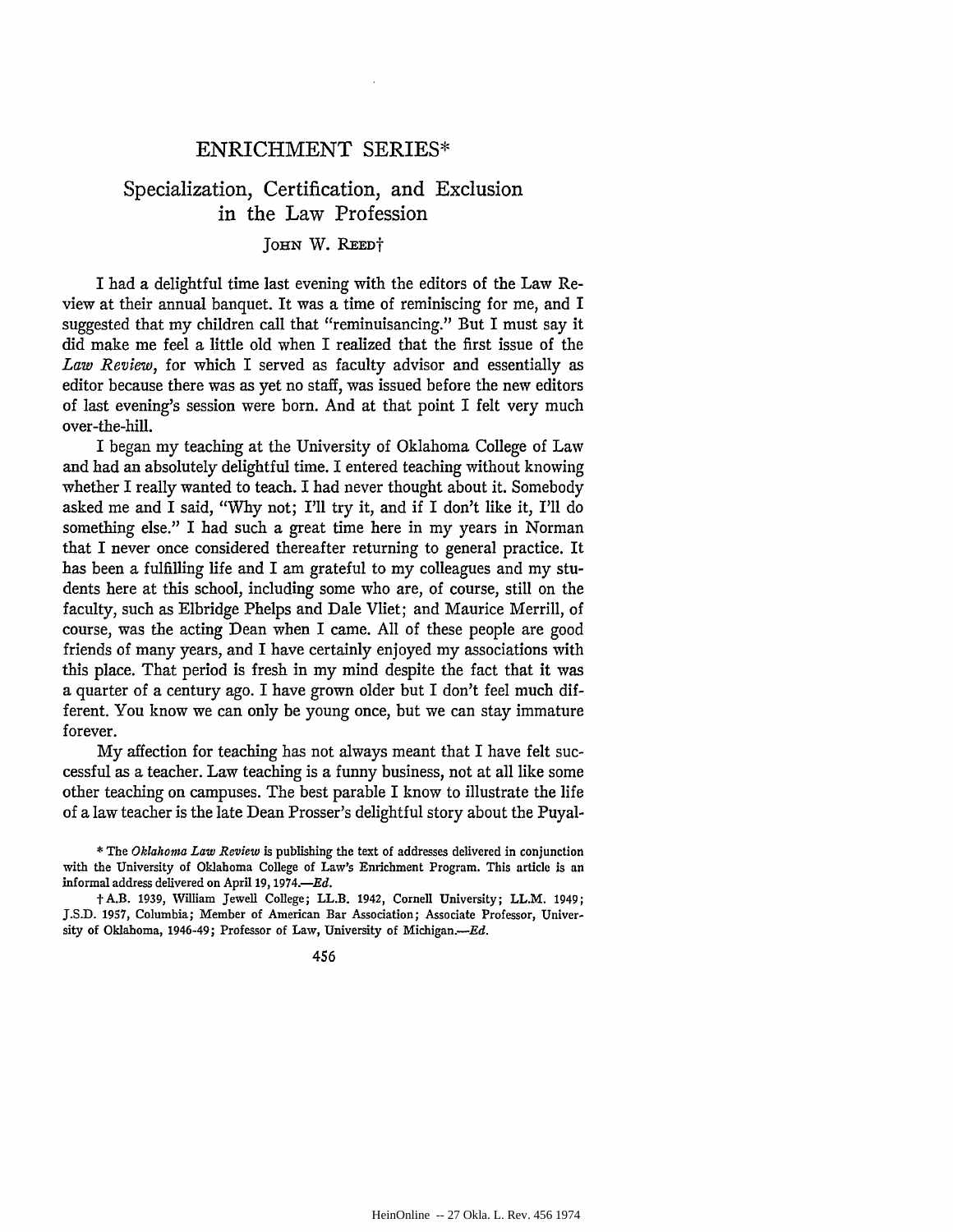### ENRICHMENT SERIES\*

## Specialization, Certification, and Exclusion in the Law Profession

**JoHN** W. **REEDt**

I had a delightful time last evening with the editors of the Law Review at their annual banquet. It was a time of reminiscing for me, and I suggested that my children call that "reminuisancing." But I must say it did make me feel a little old when I realized that the first issue of the *Law Review,* for which I served as faculty advisor and essentially as editor because there was as yet no staff, was issued before the new editors of last evening's session were born. And at that point I felt very much over-the-hill.

I began my teaching at the University of Oklahoma College of Law and had an absolutely delightful time. I entered teaching without knowing whether I really wanted to teach. I had never thought about it. Somebody asked me and I said, "Why not; I'll try it, and if I don't like it, I'll do something else." I had such a great time here in my years in Norman that I never once considered thereafter returning to general practice. It has been a fulfilling life and I am grateful to my colleagues and my students here at this school, including some who are, of course, still on the faculty, such as Elbridge Phelps and Dale Vliet; and Maurice Merrill, of course, was the acting Dean when I came. All of these people are good friends of many years, and I have certainly enjoyed my associations with this place. That period is fresh in my mind despite the fact that it was a quarter of a century ago. I have grown older but I don't feel much different. You know we can only be young once, but we can stay immature forever.

My affection for teaching has not always meant that I have felt successful as a teacher. Law teaching is a funny business, not at all like some other teaching on campuses. The best parable I know to illustrate the life of a law teacher is the late Dean Prosser's delightful story about the Puyal-

\* The *Oklahoma Law Review* is publishing the text of addresses delivered in conjunction with the University of Oklahoma College of Law's Enrichment Program. This article **is** an informal address delivered on April **19, 1974.-Ed.**

t A.B. **1939,** William Jewell College; **LL.B. 1942, Cornell** University; LL.M. 1949; **J.S.D. 1957,** Columbia; Member of American **Bar** Association; Associate Professor, University of Oklahoma, 1946-49; Professor of Law, University of Michigan.--Ed.

456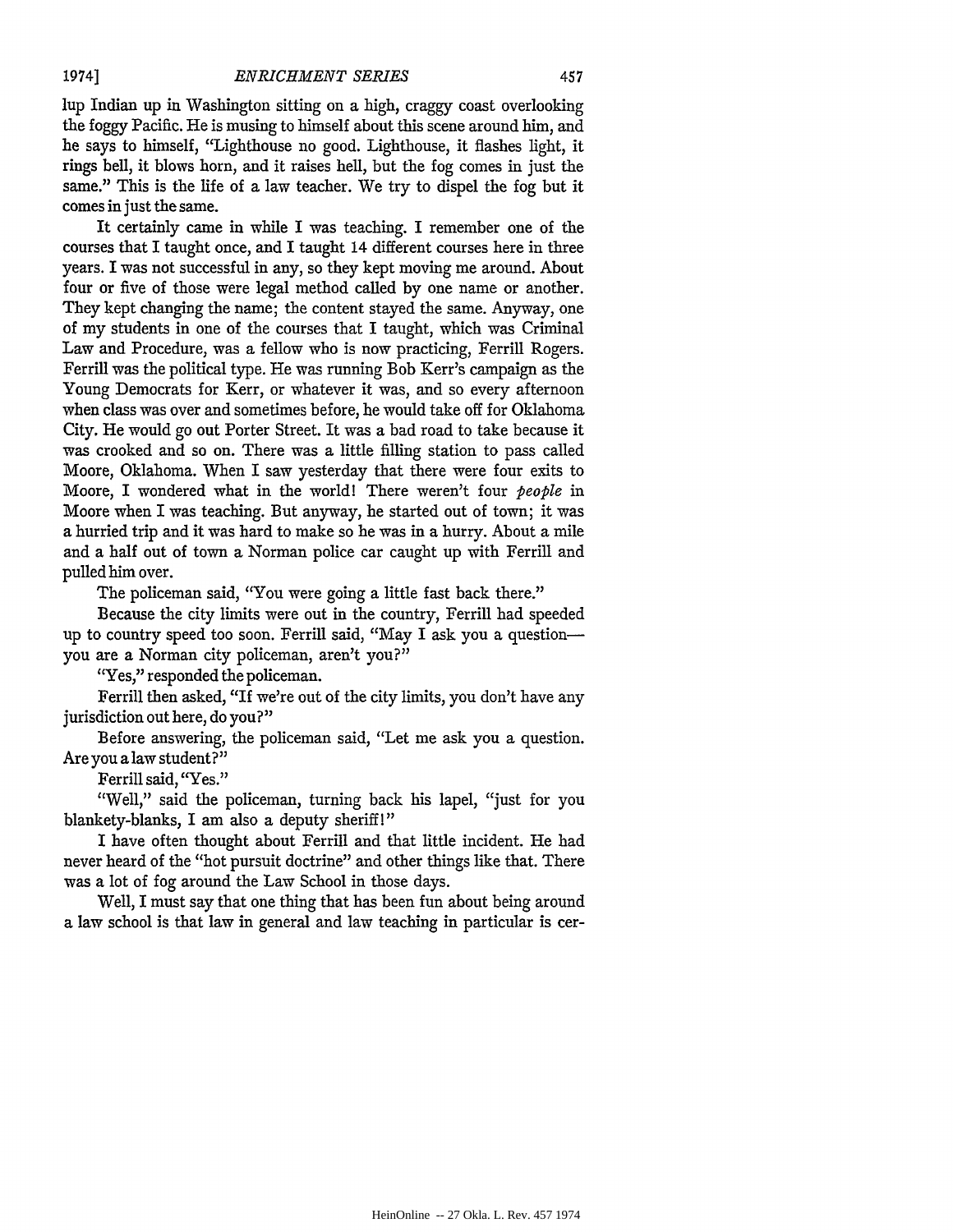lup Indian up in Washington sitting on a high, craggy coast overlooking the foggy Pacific. He is musing to himself about this scene around him, and he says to himself, "Lighthouse no good. Lighthouse, it flashes light, it rings bell, it blows horn, and it raises hell, but the fog comes in just the same." This is the life of a law teacher. We try to dispel the fog but it comes in just the same.

It certainly came in while I was teaching. I remember one of the courses that I taught once, and I taught 14 different courses here in three years. I was not successful in any, so they kept moving me around. About four or five of those were legal method called by one name or another. They kept changing the name; the content stayed the same. Anyway, one of my students in one of the courses that I taught, which was Criminal Law and Procedure, was a fellow who is now practicing, Ferrill Rogers. Ferrill was the political type. He was running Bob Kerr's campaign as the Young Democrats for Kerr, or whatever it was, and so every afternoon when class was over and sometimes before, he would take off for Oklahoma City. He would go out Porter Street. It was a bad road to take because it was crooked and so on. There was a little filling station to pass called Moore, Oklahoma. When I saw yesterday that there were four exits to Moore, I wondered what in the world! There weren't four *people* in Moore when I was teaching. But anyway, he started out of town; it was a hurried trip and it was hard to make so he was in a hurry. About a mile and a half out of town a Norman police car caught up with Ferrill and pulled him over.

The policeman said, "You were going a little fast back there."

Because the city limits were out in the country, Ferrill had speeded up to country speed too soon. Ferrill said, "May I ask you a questionyou are a Norman city policeman, aren't you?"

"Yes," responded the policeman.

Ferrill then asked, "If we're out of the city limits, you don't have any jurisdiction out here, do you?"

Before answering, the policeman said, "Let me ask you a question. Are you a law student?"

Ferrill said, "Yes."

"Well," said the policeman, turning back his lapel, "just for you blankety-blanks, I am also a deputy sheriff!"

I have often thought about Ferrill and that little incident. He had never heard of the "hot pursuit doctrine" and other things like that. There was a lot of fog around the Law School in those days.

Well, I must say that one thing that has been fun about being around a law school is that law in general and law teaching in particular is cer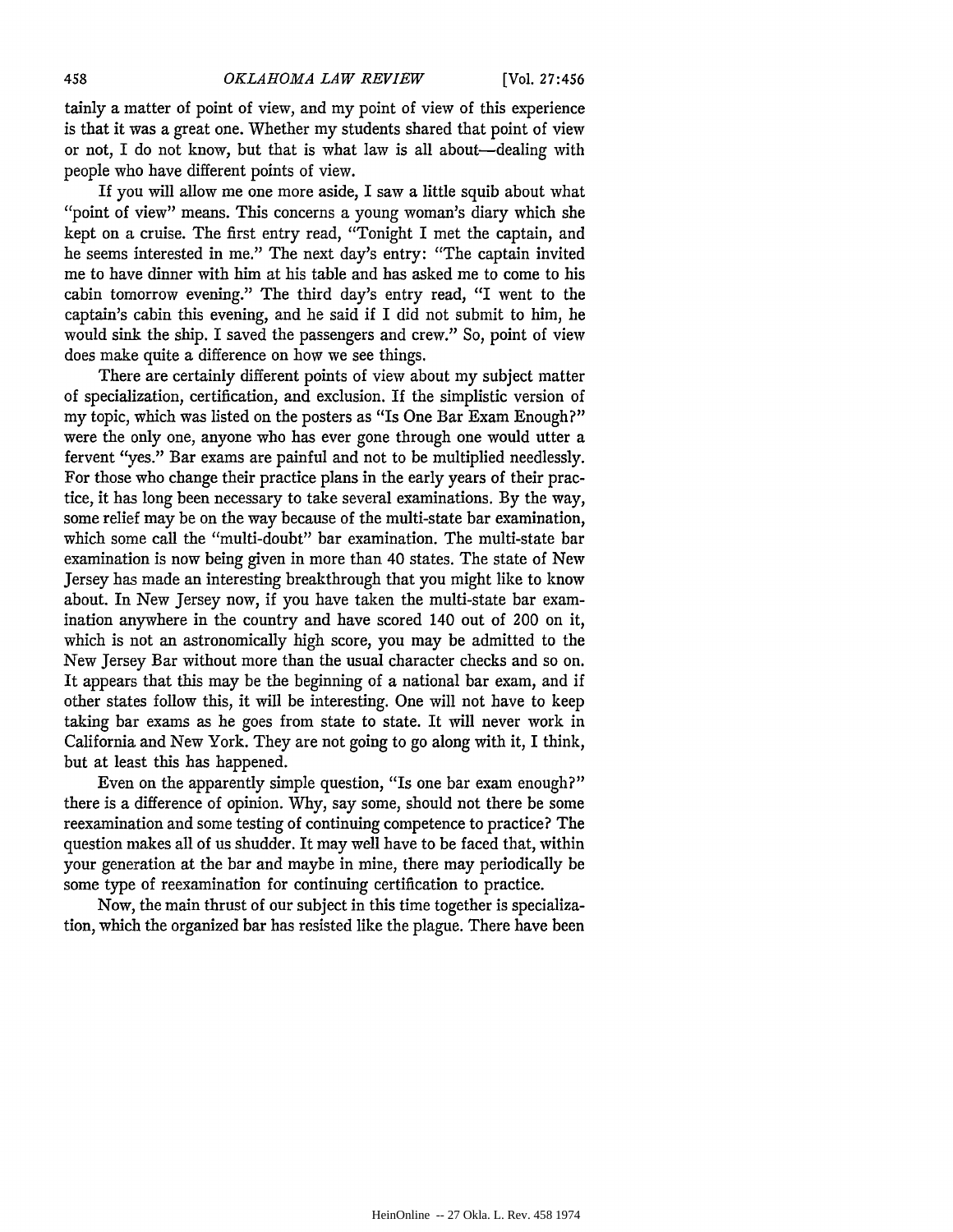tainly a matter of point of view, and my point of view of this experience is that it was a great one. Whether my students shared that point of view or not, I do not know, but that is what law is all about-dealing with people who have different points of view.

If you will allow me one more aside, I saw a little squib about what "point of view" means. This concerns a young woman's diary which she kept on a cruise. The first entry read, "Tonight I met the captain, and he seems interested in me." The next day's entry: "The captain invited me to have dinner with him at his table and has asked me to come to his cabin tomorrow evening." The third day's entry read, "I went to the captain's cabin this evening, and he said if I did not submit to him, he would sink the ship. I saved the passengers and crew." So, point of view does make quite a difference on how we see things.

There are certainly different points of view about my subject matter of specialization, certification, and exclusion. If the simplistic version of my topic, which was listed on the posters as "Is One Bar Exam Enough?" were the only one, anyone who has ever gone through one would utter a fervent "yes." Bar exams are painful and not to be multiplied needlessly. For those who change their practice plans in the early years of their practice, it has long been necessary to take several examinations. By the way, some relief may be on the way because of the multi-state bar examination, which some call the "multi-doubt" bar examination. The multi-state bar examination is now being given in more than 40 states. The state of New Jersey has made an interesting breakthrough that you might like to know about. In New Jersey now, if you have taken the multi-state bar examination anywhere in the country and have scored 140 out of 200 on it, which is not an astronomically high score, you may be admitted to the New Jersey Bar without more than the usual character checks and so on. It appears that this may be the beginning of a national bar exam, and if other states follow this, it will be interesting. One will not have to keep taking bar exams as he goes from state to state. It will never work in California and New York. They are not going to go along with it, I think, but at least this has happened.

Even on the apparently simple question, "Is one bar exam enough?" there is a difference of opinion. Why, say some, should not there be some reexamination and some testing of continuing competence to practice? The question makes all of us shudder. It may well have to be faced that, within your generation at the bar and maybe in mine, there may periodically be some type of reexamination for continuing certification to practice.

Now, the main thrust of our subject in this time together is specialization, which the organized bar has resisted like the plague. There have been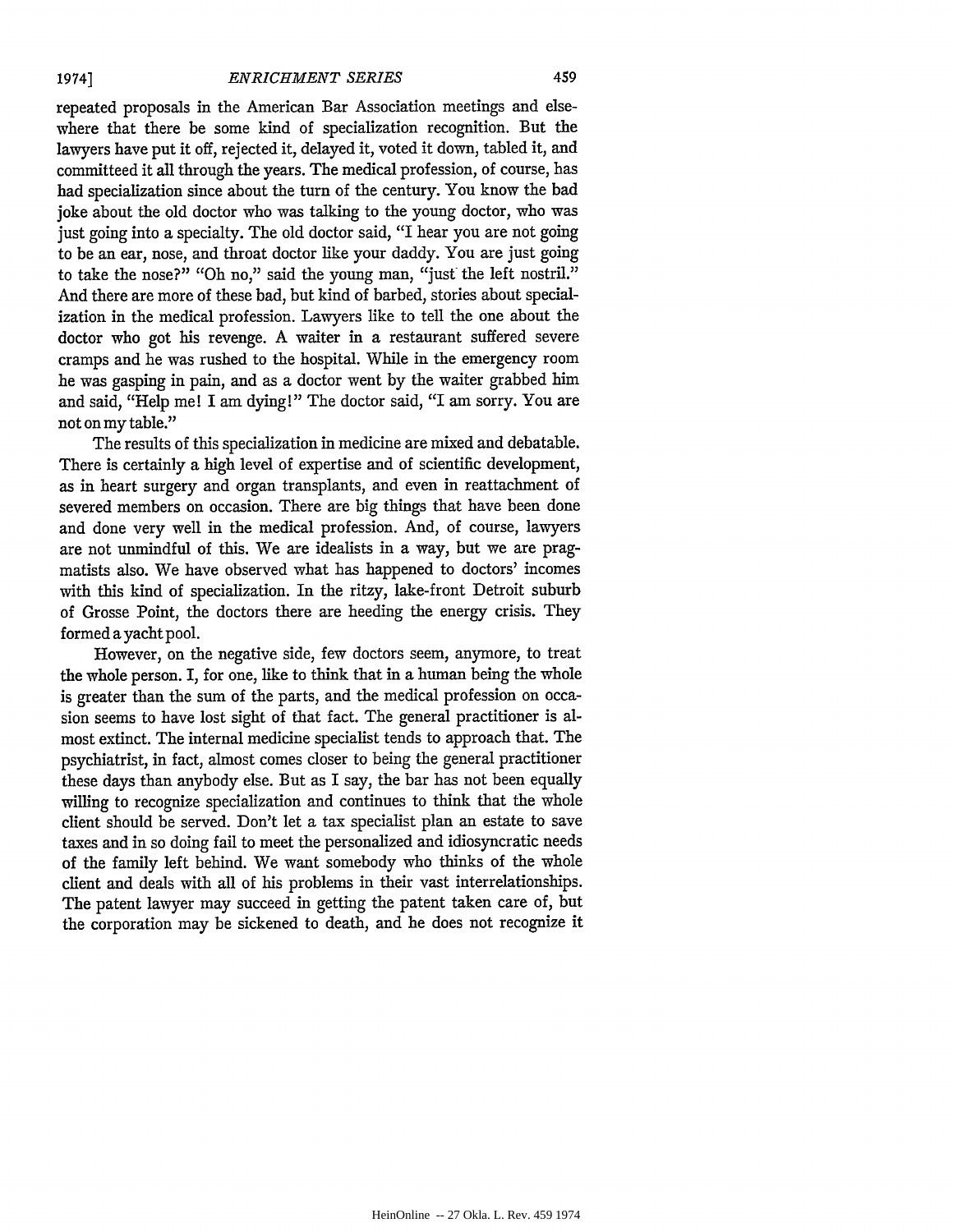*1974]*

repeated proposals in the American Bar Association meetings and elsewhere that there be some kind of specialization recognition. But the lawyers have put it off, rejected it, delayed it, voted it down, tabled it, and committeed it all through the years. The medical profession, of course, has had specialization since about the turn of the century. You know the bad joke about the old doctor who was talking to the young doctor, who was just going into a specialty. The old doctor said, "I hear you are not going to be an ear, nose, and throat doctor like your daddy. You are just going to take the nose?" "Oh no," said the young man, "just the left nostril." And there are more of these bad, but kind of barbed, stories about specialization in the medical profession. Lawyers like to tell the one about the doctor who got his revenge. A waiter in a restaurant suffered severe cramps and he was rushed to the hospital. While in the emergency room he was gasping in pain, and as a doctor went by the waiter grabbed him and said, "Help me! I am dying!" The doctor said, "I am sorry. You are not on my table."

The results of this specialization in medicine are mixed and debatable. There is certainly a high level of expertise and of scientific development, as in heart surgery and organ transplants, and even in reattachment of severed members on occasion. There are big things that have been done and done very well in the medical profession. And, of course, lawyers are not unmindful of this. We are idealists in a way, but we are pragmatists also. We have observed what has happened to doctors' incomes with this kind of specialization. In the ritzy, lake-front Detroit suburb of Grosse Point, the doctors there are heeding the energy crisis. They formed a yacht pool.

However, on the negative side, few doctors seem, anymore, to treat the whole person. I, for one, like to think that in a human being the whole is greater than the sum of the parts, and the medical profession on occasion seems to have lost sight of that fact. The general practitioner is almost extinct. The internal medicine specialist tends to approach that. The psychiatrist, in fact, almost comes closer to being the general practitioner these days than anybody else. But as I say, the bar has not been equally willing to recognize specialization and continues to think that the whole client should be served. Don't let a tax specialist plan an estate to save taxes and in so doing fail to meet the personalized and idiosyncratic needs of the family left behind. We want somebody who thinks of the whole client and deals with all of his problems in their vast interrelationships. The patent lawyer may succeed in getting the patent taken care of, but the corporation may be sickened to death, and he does not recognize it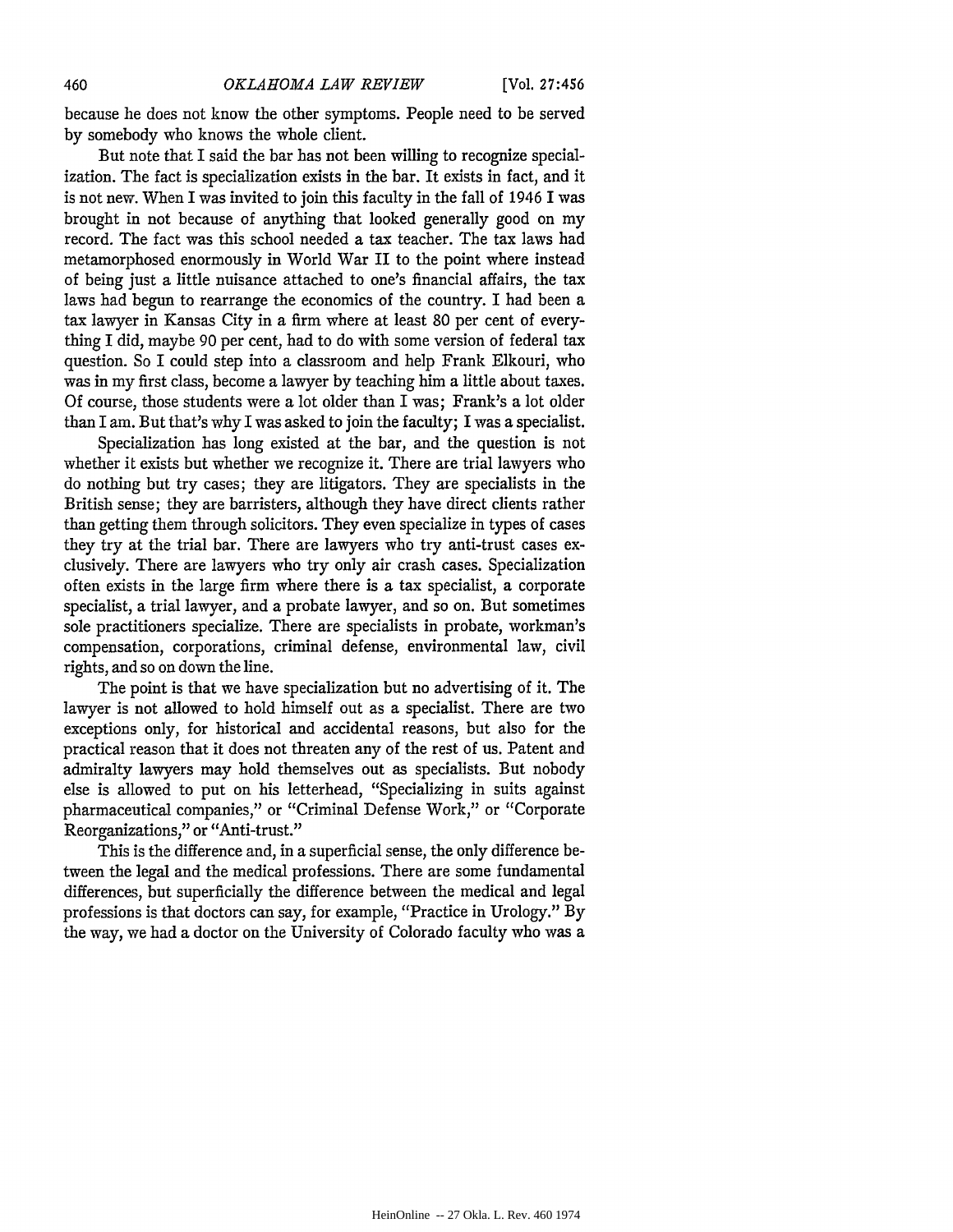because he does not know the other symptoms. People need to be served by somebody who knows the whole client.

But note that I said the bar has not been willing to recognize specialization. The fact is specialization exists in the bar. It exists in fact, and it is not new. When I was invited to join this faculty in the fall of 1946 1 was brought in not because of anything that looked generally good on my record. The fact was this school needed a tax teacher. The tax laws had metamorphosed enormously in World War II to the point where instead of being just a little nuisance attached to one's financial affairs, the tax laws had begun to rearrange the economics of the country. I had been a tax lawyer in Kansas City in a firm where at least 80 per cent of everything I did, maybe 90 per cent, had to do with some version of federal tax question. So I could step into a classroom and help Frank Elkouri, who was in my first class, become a lawyer by teaching him a little about taxes. Of course, those students were a lot older than I was; Frank's a lot older than I am. But that's why I was asked to join the faculty; I was a specialist.

Specialization has long existed at the bar, and the question is not whether it exists but whether we recognize it. There are trial lawyers who do nothing but try cases; they are litigators. They are specialists in the British sense; they are barristers, although they have direct clients rather than getting them through solicitors. They even specialize in types of cases they try at the trial bar. There are lawyers who try anti-trust cases exclusively. There are lawyers who try only air crash cases. Specialization often exists in the large firm where there is a tax specialist, a corporate specialist, a trial lawyer, and a probate lawyer, and so on. But sometimes sole practitioners specialize. There are specialists in probate, workman's compensation, corporations, criminal defense, environmental law, civil rights, and so on down the line.

The point is that we have specialization but no advertising of it. The lawyer is not allowed to hold himself out as a specialist. There are two exceptions only, for historical and accidental reasons, but also for the practical reason that it does not threaten any of the rest of us. Patent and admiralty lawyers may hold themselves out as specialists. But nobody else is allowed to put on his letterhead, "Specializing in suits against pharmaceutical companies," or "Criminal Defense Work," or "Corporate Reorganizations," or "Anti-trust."

This is the difference and, in a superficial sense, the only difference between the legal and the medical professions. There are some fundamental differences, but superficially the difference between the medical and legal professions is that doctors can say, for example, "Practice in Urology." **By** the way, we had a doctor on the University of Colorado faculty who was a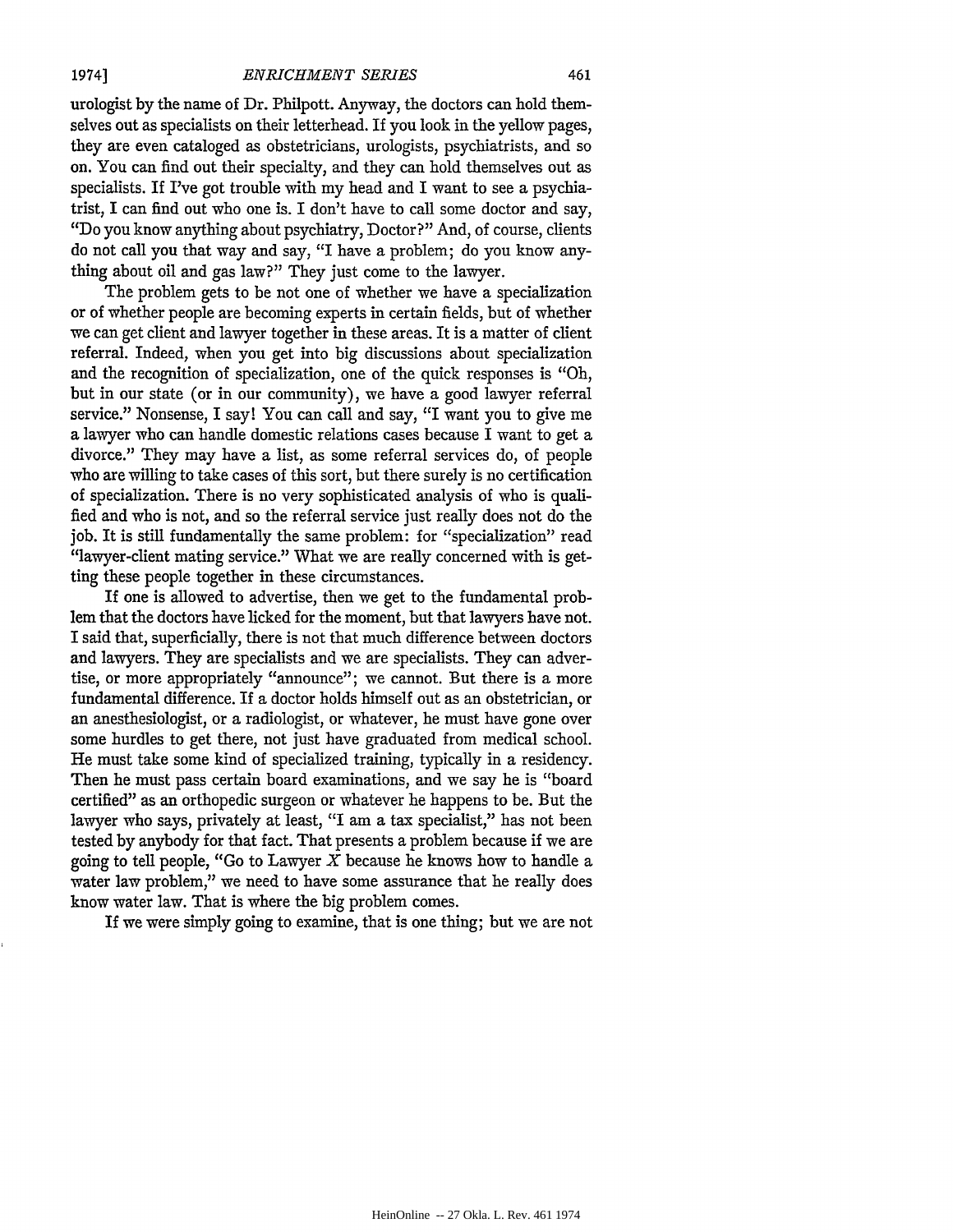urologist by the name of Dr. Philpott. Anyway, the doctors can hold themselves out as specialists on their letterhead. If you look in the yellow pages, they are even cataloged as obstetricians, urologists, psychiatrists, and so on. You can find out their specialty, and they can hold themselves out as specialists. If I've got trouble with my head and I want to see a psychiatrist, I can find out who one is. I don't have to call some doctor and say, "Do you know anything about psychiatry, Doctor?" And, of course, clients do not call you that way and say, "I have a problem; do you know anything about oil and gas law?" They just come to the lawyer.

The problem gets to be not one of whether we have a specialization or of whether people are becoming experts in certain fields, but of whether we can get client and lawyer together in these areas. It is a matter of client referral. Indeed, when you get into big discussions about specialization and the recognition of specialization, one of the quick responses is "Oh, but in our state (or in our community), we have a good lawyer referral service." Nonsense, I say! You can call and say, "I want you to give me a lawyer who can handle domestic relations cases because I want to get a divorce." They may have a list, as some referral services do, of people who are willing to take cases of this sort, but there surely is no certification of specialization. There is no very sophisticated analysis of who is qualified and who is not, and so the referral service just really does not do the job. It is still fundamentally the same problem: for "specialization" read "lawyer-client mating service." What we are really concerned with is getting these people together in these circumstances.

If one is allowed to advertise, then we get to the fundamental problem that the doctors have licked for the moment, but that lawyers have not. I said that, superficially, there is not that much difference between doctors and lawyers. They are specialists and we are specialists. They can advertise, or more appropriately "announce"; we cannot. But there is a more fundamental difference. If a doctor holds himself out as an obstetrician, or an anesthesiologist, or a radiologist, or whatever, he must have gone over some hurdles to get there, not just have graduated from medical school. He must take some kind of specialized training, typically in a residency. Then he must pass certain board examinations, and we say he is "board certified" as an orthopedic surgeon or whatever he happens to be. But the lawyer who says, privately at least, "I am a tax specialist," has not been tested **by** anybody for that fact. That presents a problem because if we are going to tell people, "Go to Lawyer  $X$  because he knows how to handle a water law problem," we need to have some assurance that he really does know water law. That is where the big problem comes.

If we were simply going to examine, that is one thing; but we are not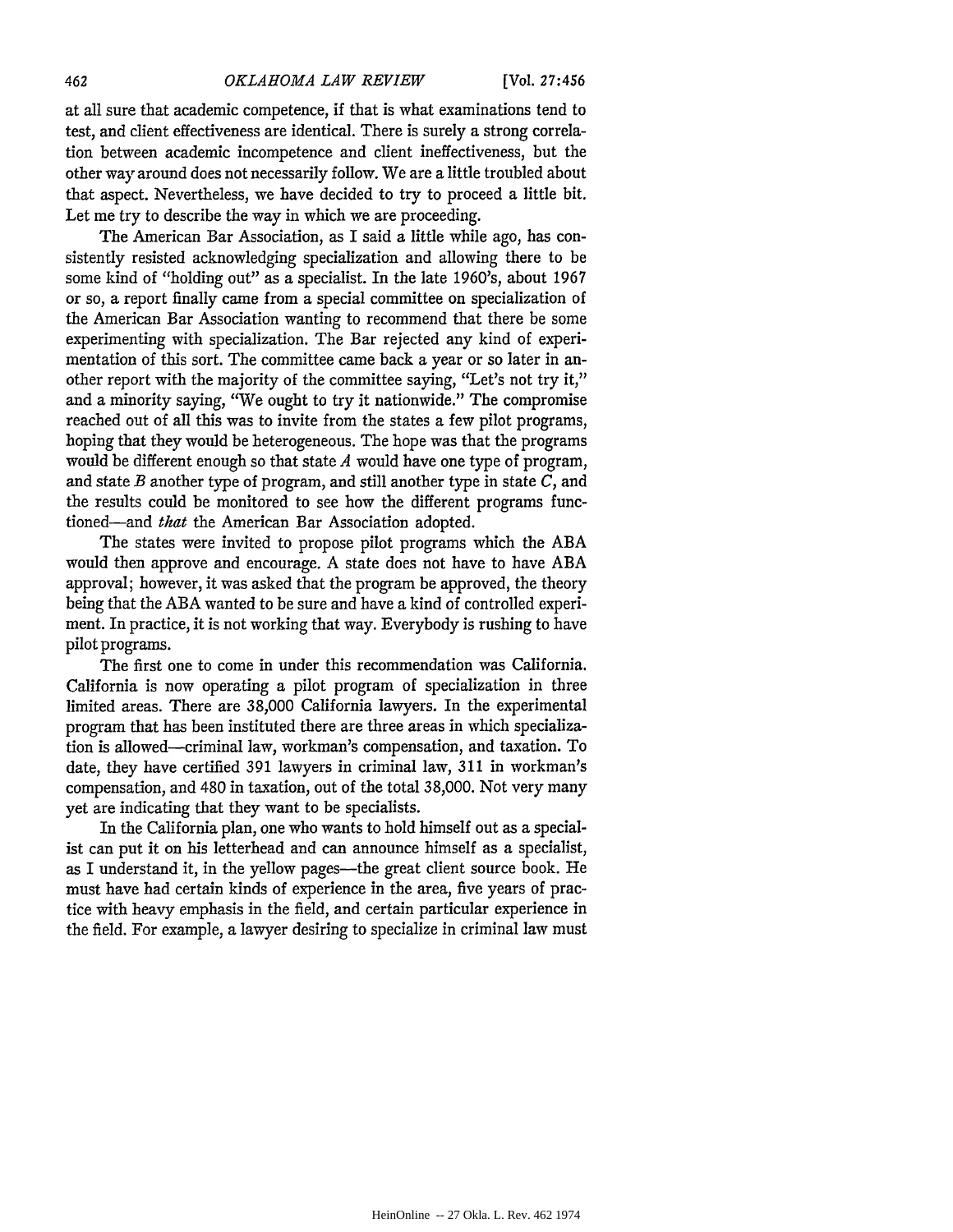at all sure that academic competence, if that is what examinations tend to test, and client effectiveness are identical. There is surely a strong correlation between academic incompetence and client ineffectiveness, but the other way around does not necessarily follow. We are a little troubled about that aspect. Nevertheless, we have decided to try to proceed a little bit. Let me try to describe the way in which we are proceeding.

The American Bar Association, as I said a little while ago, has consistently resisted acknowledging specialization and allowing there to be some kind of "holding out" as a specialist. In the late 1960's, about 1967 or so, a report finally came from a special committee on specialization of the American Bar Association wanting to recommend that there be some experimenting with specialization. The Bar rejected any kind of experimentation of this sort. The committee came back a year or so later in another report with the majority of the committee saying, "Let's not try it," and a minority saying, "We ought to try it nationwide." The compromise reached out of all this was to invite from the states a few pilot programs, hoping that they would be heterogeneous. The hope was that the programs would be different enough so that state *A* would have one type of program, and state *B* another type of program, and still another type in state *C,* and the results could be monitored to see how the different programs functioned-and *that* the American Bar Association adopted.

The states were invited to propose pilot programs which the ABA would then approve and encourage. A state does not have to have ABA approval; however, it was asked that the program be approved, the theory being that the ABA wanted to be sure and have a kind of controlled experiment. In practice, it is not working that way. Everybody is rushing to have pilot programs.

The first one to come in under this recommendation was California. California is now operating a pilot program of specialization in three limited areas. There are 38,000 California lawyers. In the experimental program that has been instituted there are three areas in which specialization is allowed-criminal law, workman's compensation, and taxation. To date, they have certified 391 lawyers in criminal law, 311 in workman's compensation, and 480 in taxation, out of the total 38,000. Not very many yet are indicating that they want to be specialists.

In the California plan, one who wants to hold himself out as a specialist can put it on his letterhead and can announce himself as a specialist, as I understand it, in the yellow pages—the great client source book. He must have had certain kinds of experience in the area, five years of practice with heavy emphasis in the field, and certain particular experience in the field. For example, a lawyer desiring to specialize in criminal law must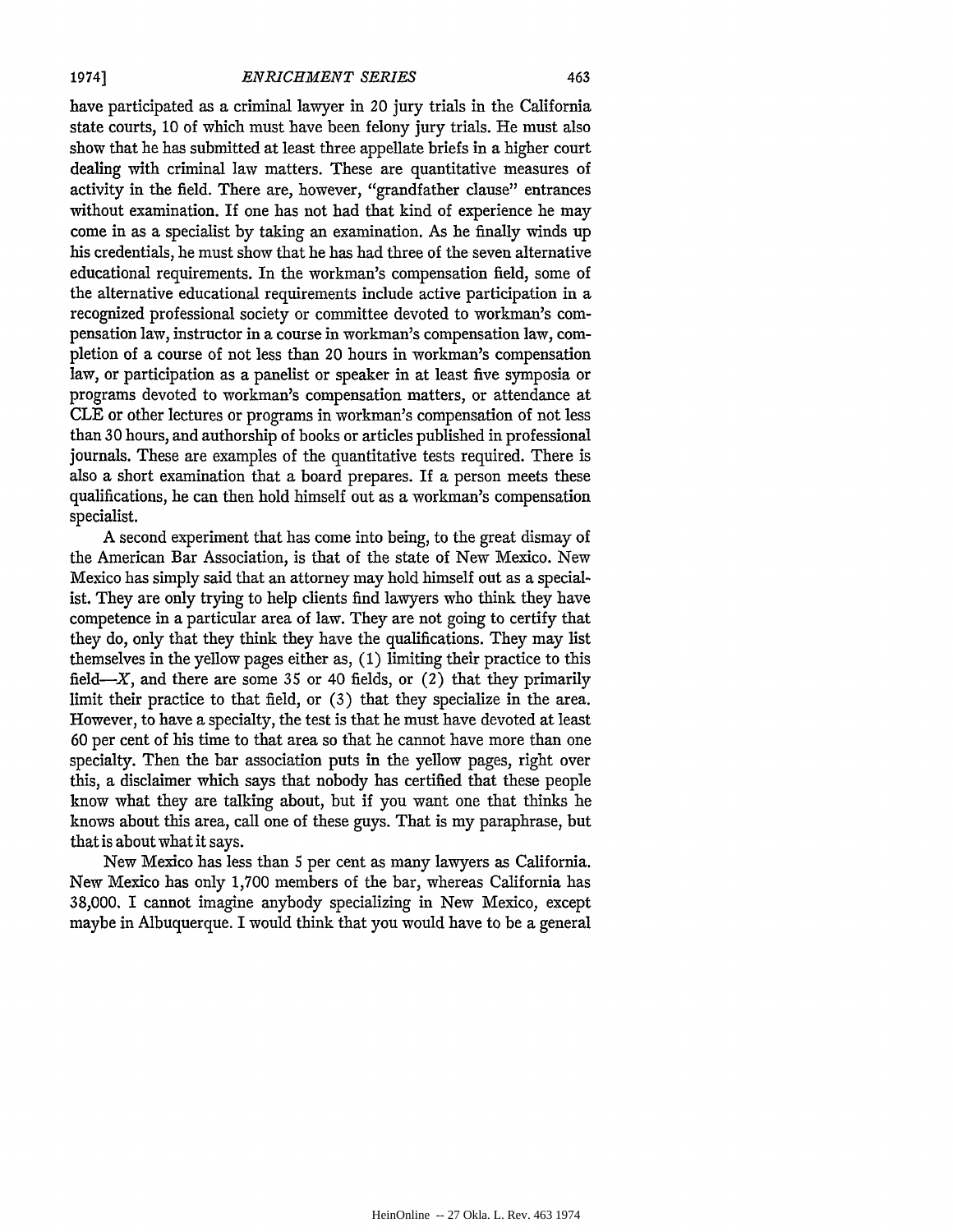have participated as a criminal lawyer in 20 jury trials in the California state courts, **10** of which must have been felony jury trials. He must also show that he has submitted at least three appellate briefs in a higher court dealing with criminal law matters. These are quantitative measures of activity in the field. There are, however, "grandfather clause" entrances without examination. If one has not had that kind of experience he may come in as a specialist by taking an examination. As he finally winds up his credentials, he must show that he has had three of the seven alternative educational requirements. In the workman's compensation field, some of the alternative educational requirements include active participation in a recognized professional society or committee devoted to workman's compensation law, instructor in a course in workman's compensation law, completion of a course of not less than 20 hours in workman's compensation law, or participation as a panelist or speaker in at least five symposia or programs devoted to workman's compensation matters, or attendance at CLE or other lectures or programs in workman's compensation of not less than **30** hours, and authorship of books or articles published in professional journals. These are examples of the quantitative tests required. There is also a short examination that a board prepares. If a person meets these qualifications, he can then hold himself out as a workman's compensation specialist.

A second experiment that has come into being, to the great dismay of the American Bar Association, is that of the state of New Mexico. New Mexico has simply said that an attorney may hold himself out as a specialist. They are only trying to help clients find lawyers who think they have competence in a particular area of law. They are not going to certify that they do, only that they think they have the qualifications. They may list themselves in the yellow pages either as, (1) limiting their practice to this field- $X$ , and there are some 35 or 40 fields, or (2) that they primarily limit their practice to that field, or (3) that they specialize in the area. However, to have a specialty, the test is that he must have devoted at least **60** per cent of his time to that area so that he cannot have more than one specialty. Then the bar association puts in the yellow pages, right over this, a disclaimer which says that nobody has certified that these people know what they are talking about, but if you want one that thinks he knows about this area, call one of these guys. That is my paraphrase, but that is about what it says.

New Mexico has less than 5 per cent as many lawyers as California. New Mexico has only **1,700** members of the bar, whereas California has **38,000.** I cannot imagine anybody specializing in New Mexico, except maybe in Albuquerque. I would think that you would have to be a general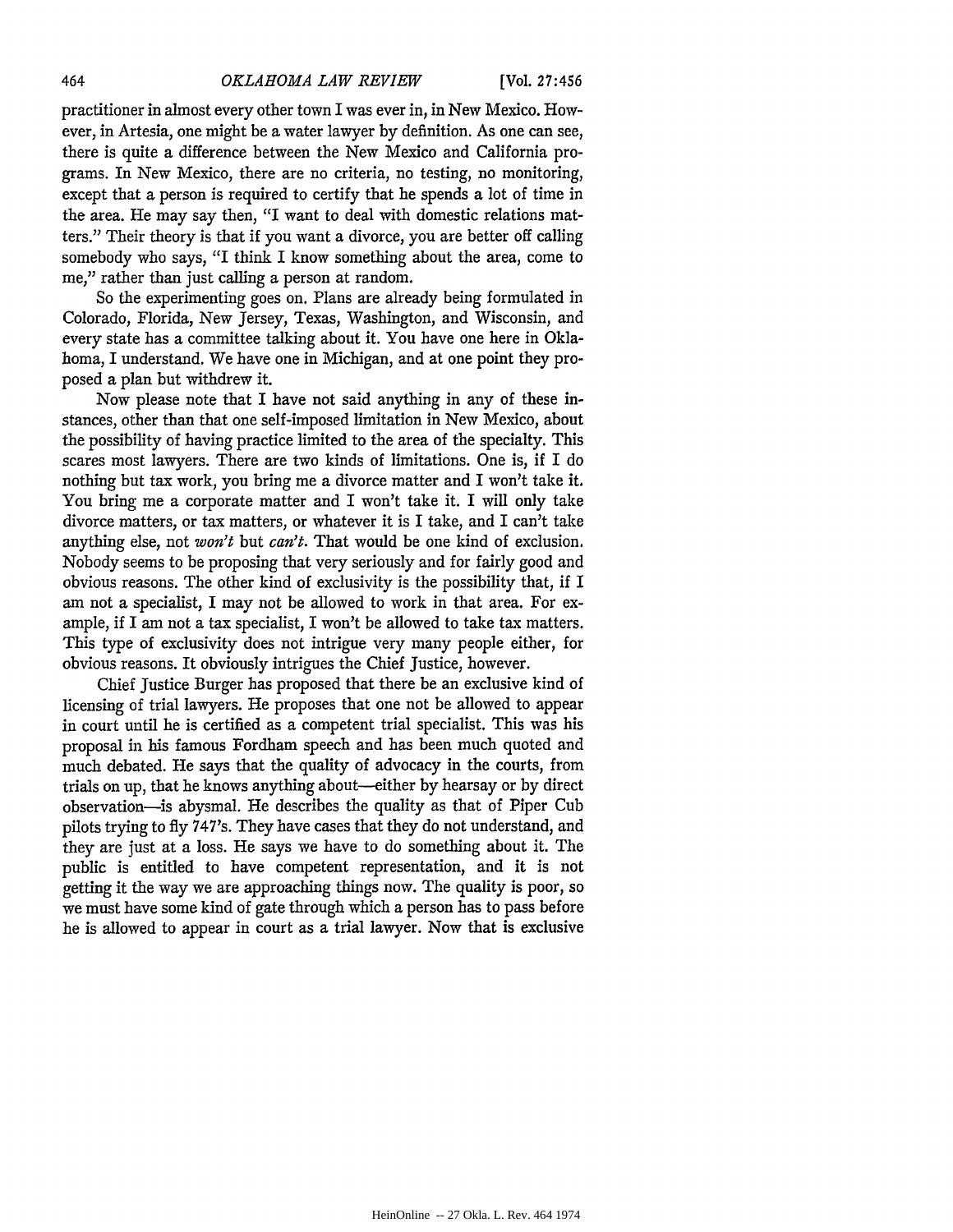practitioner in almost every other town I was ever in, in New Mexico. However, in Artesia, one might be a water lawyer by definition. As one can see, there is quite a difference between the New Mexico and California programs. In New Mexico, there are no criteria, no testing, no monitoring, except that a person is required to certify that he spends a lot of time in the area. He may say then, "I want to deal with domestic relations matters." Their theory is that if you want a divorce, you are better off calling somebody who says, "I think I know something about the area, come to me," rather than just calling a person at random.

So the experimenting goes on. Plans are already being formulated in Colorado, Florida, New Jersey, Texas, Washington, and Wisconsin, and every state has a committee talking about it. You have one here in Oklahoma, I understand. We have one in Michigan, and at one point they proposed a plan but withdrew it.

Now please note that I have not said anything in any of these instances, other than that one self-imposed limitation in New Mexico, about the possibility of having practice limited to the area of the specialty. This scares most lawyers. There are two kinds of limitations. One is, if I do nothing but tax work, you bring me a divorce matter and I won't take it. You bring me a corporate matter and I won't take it. I will only take divorce matters, or tax matters, or whatever it is I take, and I can't take anything else, not *won't* but *can't.* That would be one kind of exclusion. Nobody seems to be proposing that very seriously and for fairly good and obvious reasons. The other kind of exclusivity is the possibility that, if I am not a specialist, I may not be allowed to work in that area. For example, if I am not a tax specialist, I won't be allowed to take tax matters. This type of exclusivity does not intrigue very many people either, for obvious reasons. It obviously intrigues the Chief Justice, however.

Chief Justice Burger has proposed that there be an exclusive kind of licensing of trial lawyers. He proposes that one not be allowed to appear in court until he is certified as a competent trial specialist. This was his proposal in his famous Fordham speech and has been much quoted and much debated. He says that the quality of advocacy in the courts, from trials on up, that he knows anything about-either by hearsay or by direct observation-is abysmal. He describes the quality as that of Piper Cub pilots trying to fly 747's. They have cases that they do not understand, and they are just at a loss. He says we have to do something about it. The public is entitled to have competent representation, and it is not getting it the way we are approaching things now. The quality is poor, so we must have some kind of gate through which a person has to pass before he is allowed to appear in court as a trial lawyer. Now that is exclusive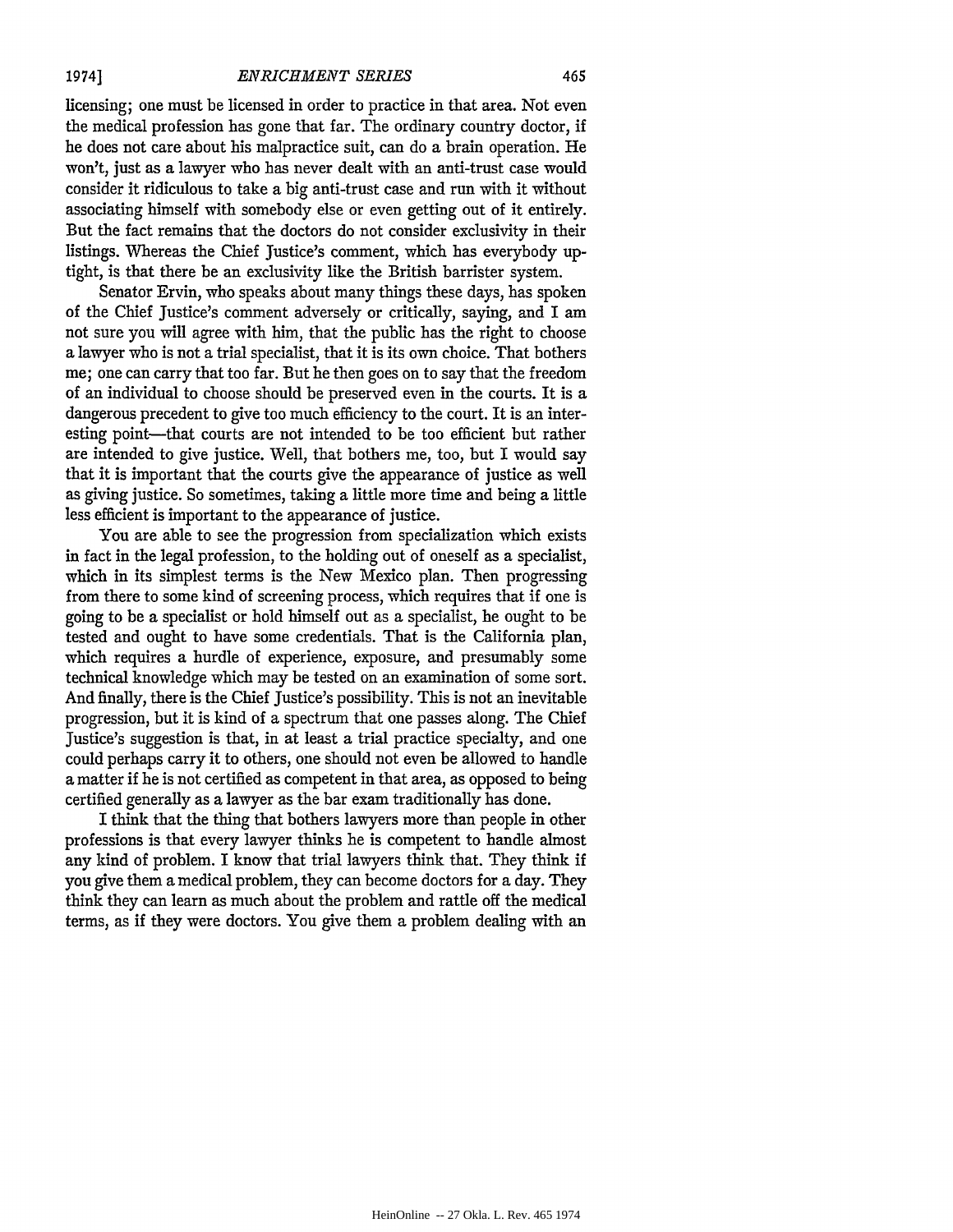licensing; one must be licensed in order to practice in that area. Not even the medical profession has gone that far. The ordinary country doctor, if he does not care about his malpractice suit, can do a brain operation. He won't, just as a lawyer who has never dealt with an anti-trust case would consider it ridiculous to take a big anti-trust case and run with it without associating himself with somebody else or even getting out of it entirely. But the fact remains that the doctors do not consider exclusivity in their listings. Whereas the Chief Justice's comment, which has everybody uptight, is that there be an exclusivity like the British barrister system.

Senator Ervin, who speaks about many things these days, has spoken of the Chief Justice's comment adversely or critically, saying, and I am not sure you will agree with him, that the public has the right to choose a lawyer who is not a trial specialist, that it is its own choice. That bothers me; one can carry that too far. But he then goes on to say that the freedom of an individual to choose should be preserved even in the courts. It is a dangerous precedent to give too much efficiency to the court. It is an interesting point—that courts are not intended to be too efficient but rather are intended to give justice. Well, that bothers me, too, but I would say that it is important that the courts give the appearance of justice as well as giving justice. So sometimes, taking a little more time and being a little less efficient is important to the appearance of justice.

You are able to see the progression from specialization which exists in fact in the legal profession, to the holding out of oneself as a specialist, which in its simplest terms is the New Mexico plan. Then progressing from there to some kind of screening process, which requires that if one is going to be a specialist or hold himself out as a specialist, he ought to be tested and ought to have some credentials. That is the California plan, which requires a hurdle of experience, exposure, and presumably some technical knowledge which may be tested on an examination of some sort. And finally, there is the Chief Justice's possibility. This is not an inevitable progression, but it is kind of a spectrum that one passes along. The Chief Justice's suggestion is that, in at least a trial practice specialty, and one could perhaps carry it to others, one should not even be allowed to handle a matter if he is not certified as competent in that area, as opposed to being certified generally as a lawyer as the bar exam traditionally has done.

I think that the thing that bothers lawyers more than people in other professions is that every lawyer thinks he is competent to handle almost any kind of problem. I know that trial lawyers think that. They think if you give them a medical problem, they can become doctors for a day. They think they can learn as much about the problem and rattle off the medical terms, as if they were doctors. You give them a problem dealing with an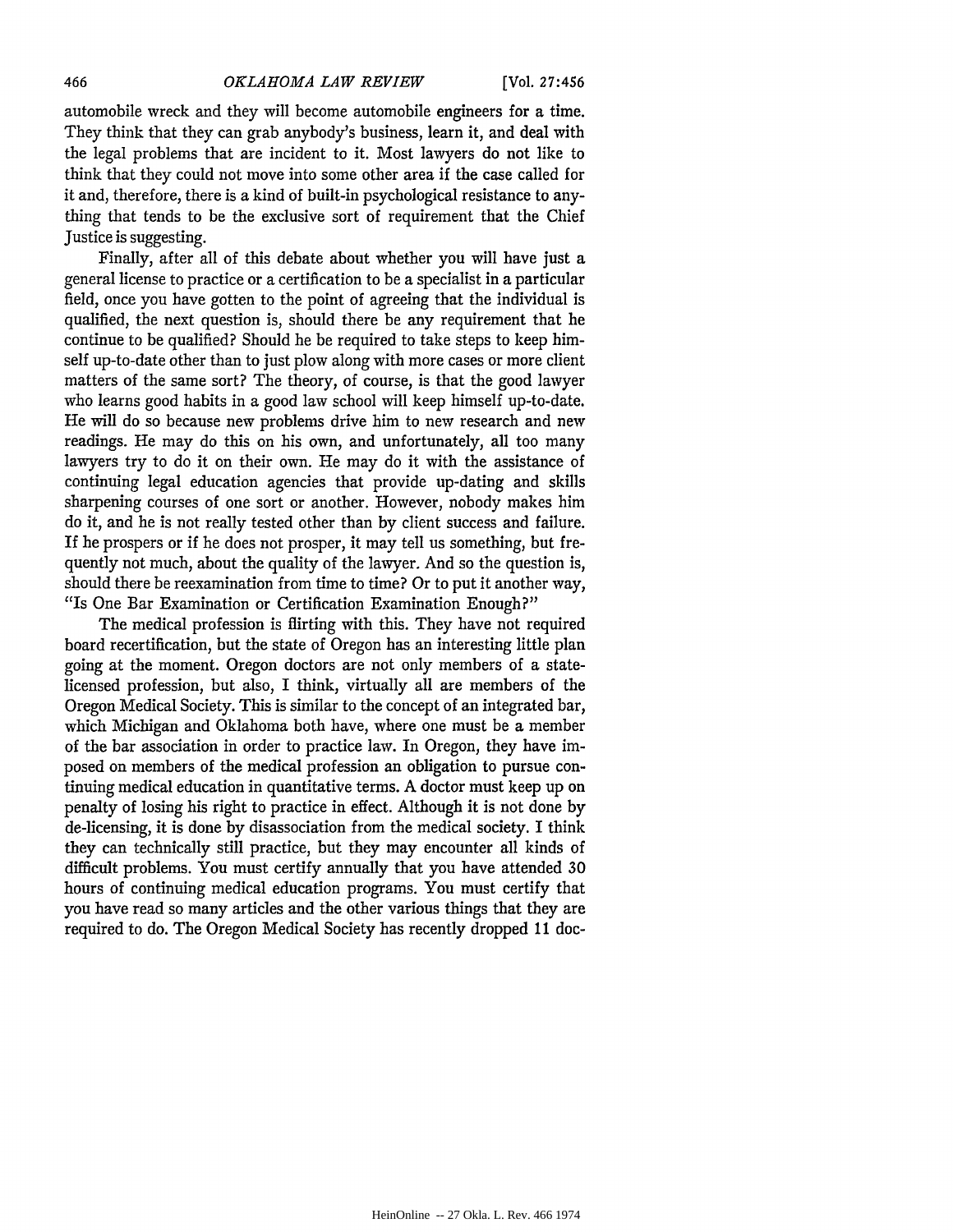automobile wreck and they will become automobile engineers for a time. They think that they can grab anybody's business, learn it, and deal with the legal problems that are incident to it. Most lawyers do not like to think that they could not move into some other area if the case called for it and, therefore, there is a kind of built-in psychological resistance to anything that tends to be the exclusive sort of requirement that the Chief Justice is suggesting.

Finally, after all of this debate about whether you will have just a general license to practice or a certification to be a specialist in a particular field, once you have gotten to the point of agreeing that the individual is qualified, the next question is, should there be any requirement that he continue to be qualified? Should he be required to take steps to keep himself up-to-date other than to just plow along with more cases or more client matters of the same sort? The theory, of course, is that the good lawyer who learns good habits in a good law school will keep himself up-to-date. He will do so because new problems drive him to new research and new readings. He may do this on his own, and unfortunately, all too many lawyers try to do it on their own. He may do it with the assistance of continuing legal education agencies that provide up-dating and skills sharpening courses of one sort or another. However, nobody makes him do it, and he is not really tested other than by client success and failure. If he prospers or if he does not prosper, it may tell us something, but frequently not much, about the quality of the lawyer. And so the question is, should there be reexamination from time to time? Or to put it another way, "Is One Bar Examination or Certification Examination Enough?"

The medical profession is flirting with this. They have not required board recertification, but the state of Oregon has an interesting little plan going at the moment. Oregon doctors are not only members of a statelicensed profession, but also, I think, virtually all are members of the Oregon Medical Society. This is similar to the concept of an integrated bar, which Michigan and Oklahoma both have, where one must be a member of the bar association in order to practice law. In Oregon, they have imposed on members of the medical profession an obligation to pursue continuing medical education in quantitative terms. A doctor must keep up on penalty of losing his right to practice in effect. Although it is not done by de-licensing, it is done by disassociation from the medical society. I think they can technically still practice, but they may encounter all kinds of difficult problems. You must certify annually that you have attended **30** hours of continuing medical education programs. You must certify that you have read so many articles and the other various things that they are required to do. The Oregon Medical Society has recently dropped 11 doc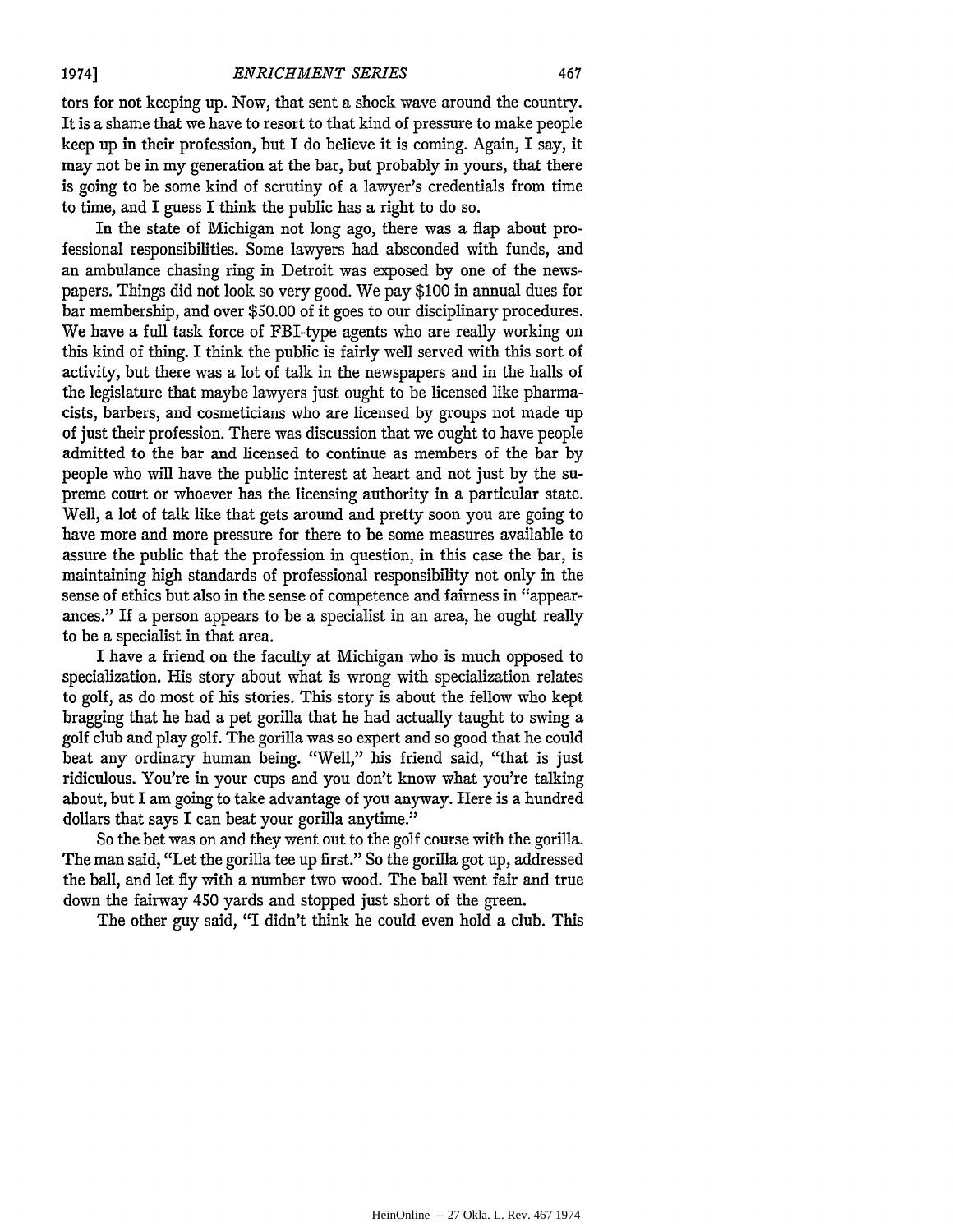1974]

tors for not keeping up. Now, that sent a shock wave around the country. It is a shame that we have to resort to that kind of pressure to make people keep up in their profession, but I do believe it is coming. Again, I say, it may not be in my generation at the bar, but probably in yours, that there is going to be some kind of scrutiny of a lawyer's credentials from time to time, and I guess I think the public has a right to do so.

In the state of Michigan not long ago, there was a flap about professional responsibilities. Some lawyers had absconded with funds, and an ambulance chasing ring in Detroit was exposed by one of the newspapers. Things did not look so very good. We pay \$100 in annual dues for bar membership, and over \$50.00 of it goes to our disciplinary procedures. We have a full task force of FBI-type agents who are really working on this kind of thing. I think the public is fairly well served with this sort of activity, but there was a lot of talk in the newspapers and in the halls of the legislature that maybe lawyers just ought to be licensed like pharmacists, barbers, and cosmeticians who are licensed by groups not made up of just their profession. There was discussion that we ought to have people admitted to the bar and licensed to continue as members of the bar by people who will have the public interest at heart and not just by the supreme court or whoever has the licensing authority in a particular state. Well, a lot of talk like that gets around and pretty soon you are going to have more and more pressure for there to be some measures available to assure the public that the profession in question, in this case the bar, is maintaining high standards of professional responsibility not only in the sense of ethics but also in the sense of competence and fairness in "appearances." If a person appears to be a specialist in an area, he ought really to be a specialist in that area.

I have a friend on the faculty at Michigan who is much opposed to specialization. His story about what is wrong with specialization relates to golf, as do most of his stories. This story is about the fellow who kept bragging that he had a pet gorilla that he had actually taught to swing a golf club and play golf. The gorilla was so expert and so good that he could beat any ordinary human being. "Well," his friend said, "that is just ridiculous. You're in your cups and you don't know what you're talking about, but I am going to take advantage of you anyway. Here is a hundred dollars that says I can beat your gorilla anytime."

So the bet was on and they went out to the golf course with the gorilla. The man said, "Let the gorilla tee up first." So the gorilla got up, addressed the ball, and let fly with a number two wood. The ball went fair and true down the fairway 450 yards and stopped just short of the green.

The other guy said, "I didn't think he could even hold a club. This